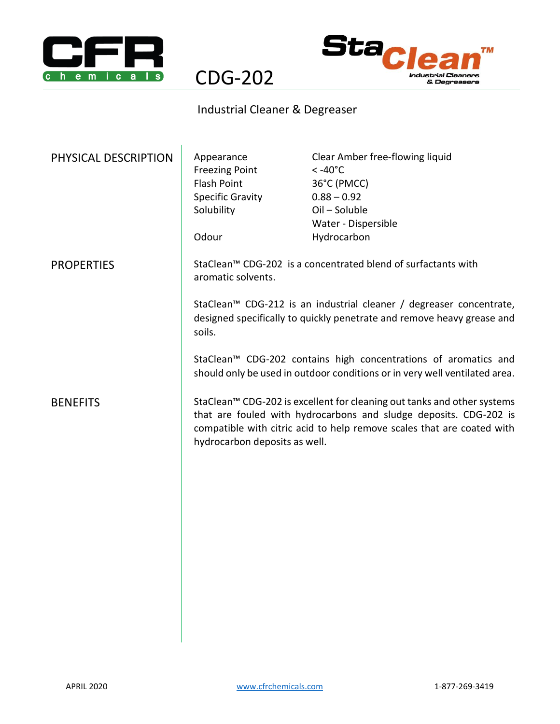



## Industrial Cleaner & Degreaser

CDG-202

| PHYSICAL DESCRIPTION | Appearance<br><b>Freezing Point</b><br><b>Flash Point</b><br><b>Specific Gravity</b><br>Solubility<br>Odour                                                                                                                                             | Clear Amber free-flowing liquid<br>$< -40^{\circ}$ C<br>36°C (PMCC)<br>$0.88 - 0.92$<br>Oil - Soluble<br>Water - Dispersible<br>Hydrocarbon |
|----------------------|---------------------------------------------------------------------------------------------------------------------------------------------------------------------------------------------------------------------------------------------------------|---------------------------------------------------------------------------------------------------------------------------------------------|
| <b>PROPERTIES</b>    | StaClean™ CDG-202 is a concentrated blend of surfactants with<br>aromatic solvents.<br>StaClean <sup>™</sup> CDG-212 is an industrial cleaner / degreaser concentrate,<br>designed specifically to quickly penetrate and remove heavy grease and        |                                                                                                                                             |
|                      | soils.<br>StaClean™ CDG-202 contains high concentrations of aromatics and<br>should only be used in outdoor conditions or in very well ventilated area.                                                                                                 |                                                                                                                                             |
| <b>BENEFITS</b>      | StaClean™ CDG-202 is excellent for cleaning out tanks and other systems<br>that are fouled with hydrocarbons and sludge deposits. CDG-202 is<br>compatible with citric acid to help remove scales that are coated with<br>hydrocarbon deposits as well. |                                                                                                                                             |
|                      |                                                                                                                                                                                                                                                         |                                                                                                                                             |
|                      |                                                                                                                                                                                                                                                         |                                                                                                                                             |